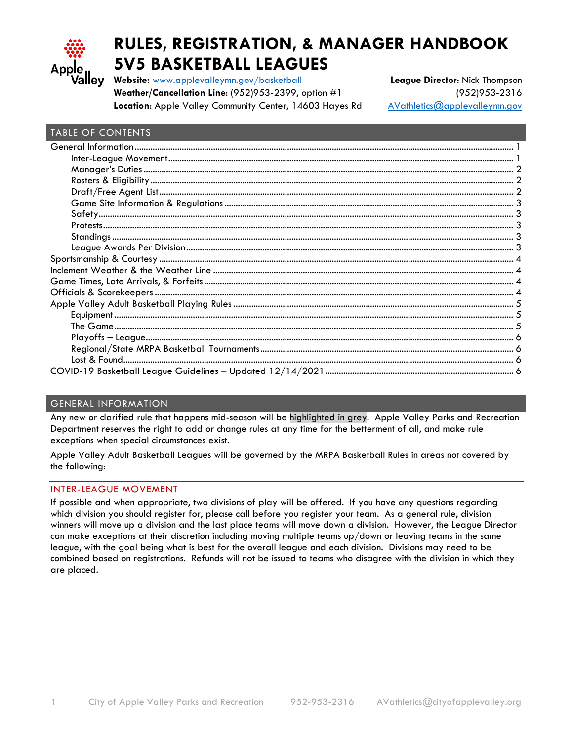

# **RULES, REGISTRATION, & MANAGER HANDBOOK 5V5 BASKETBALL LEAGUES**

**Website:** [www.applevalleymn.gov/basketball](http://www.applevalleymn.gov/basketball) **League Director**: Nick Thompson **Weather/Cancellation Line**: (952)953-2399, option #1 (952)953-2316 Location: Apple Valley Community Center, 14603 Hayes Rd [AVathletics@applevalleymn.gov](mailto:AVathletics@applevalleymn.gov)

## TABLE OF CONTENTS

## <span id="page-0-0"></span>GENERAL INFORMATION

Any new or clarified rule that happens mid-season will be highlighted in grey. Apple Valley Parks and Recreation Department reserves the right to add or change rules at any time for the betterment of all, and make rule exceptions when special circumstances exist.

Apple Valley Adult Basketball Leagues will be governed by the MRPA Basketball Rules in areas not covered by the following:

## <span id="page-0-1"></span>INTER-LEAGUE MOVEMENT

If possible and when appropriate, two divisions of play will be offered. If you have any questions regarding which division you should register for, please call before you register your team. As a general rule, division winners will move up a division and the last place teams will move down a division. However, the League Director can make exceptions at their discretion including moving multiple teams up/down or leaving teams in the same league, with the goal being what is best for the overall league and each division. Divisions may need to be combined based on registrations. Refunds will not be issued to teams who disagree with the division in which they are placed.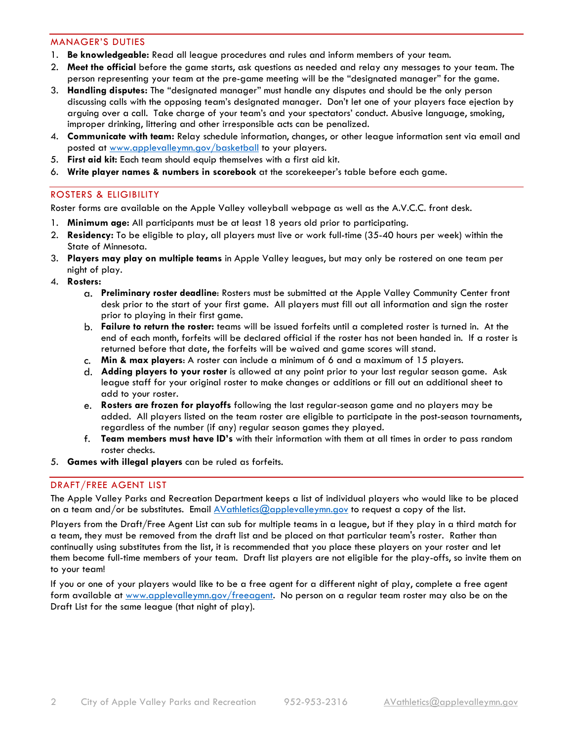#### <span id="page-1-0"></span>MANAGER'S DUTIES

- 1. **Be knowledgeable:** Read all league procedures and rules and inform members of your team.
- 2. **Meet the official** before the game starts, ask questions as needed and relay any messages to your team. The person representing your team at the pre-game meeting will be the "designated manager" for the game.
- 3. **Handling disputes:** The "designated manager" must handle any disputes and should be the only person discussing calls with the opposing team's designated manager. Don't let one of your players face ejection by arguing over a call. Take charge of your team's and your spectators' conduct. Abusive language, smoking, improper drinking, littering and other irresponsible acts can be penalized.
- 4. **Communicate with team:** Relay schedule information, changes, or other league information sent via email and posted at [www.applevalleymn.gov/basketball](http://www.applevalleymn.gov/basketball) to your players.
- 5. **First aid kit:** Each team should equip themselves with a first aid kit.
- <span id="page-1-1"></span>6. **Write player names & numbers in scorebook** at the scorekeeper's table before each game.

## ROSTERS & ELIGIBILITY

Roster forms are available on the Apple Valley volleyball webpage as well as the A.V.C.C. front desk.

- 1. **Minimum age:** All participants must be at least 18 years old prior to participating.
- 2. **Residency:** To be eligible to play, all players must live or work full-time (35-40 hours per week) within the State of Minnesota.
- 3. **Players may play on multiple teams** in Apple Valley leagues, but may only be rostered on one team per night of play.
- 4. **Rosters:** 
	- **Preliminary roster deadline**: Rosters must be submitted at the Apple Valley Community Center front desk prior to the start of your first game. All players must fill out all information and sign the roster prior to playing in their first game.
	- **Failure to return the roster:** teams will be issued forfeits until a completed roster is turned in. At the end of each month, forfeits will be declared official if the roster has not been handed in. If a roster is returned before that date, the forfeits will be waived and game scores will stand.
	- **Min & max players**: A roster can include a minimum of 6 and a maximum of 15 players.
	- **Adding players to your roster** is allowed at any point prior to your last regular season game. Ask league staff for your original roster to make changes or additions or fill out an additional sheet to add to your roster.
	- **Rosters are frozen for playoffs** following the last regular-season game and no players may be added. All players listed on the team roster are eligible to participate in the post-season tournaments, regardless of the number (if any) regular season games they played.
	- **Team members must have ID's** with their information with them at all times in order to pass random roster checks.
- <span id="page-1-2"></span>5. **Games with illegal players** can be ruled as forfeits.

## DRAFT/FREE AGENT LIST

The Apple Valley Parks and Recreation Department keeps a list of individual players who would like to be placed on a team and/or be substitutes. Email  $\Delta\mathrm{V}$ athletics@applevalleymn.gov to request a copy of the list.

Players from the Draft/Free Agent List can sub for multiple teams in a league, but if they play in a third match for a team, they must be removed from the draft list and be placed on that particular team's roster. Rather than continually using substitutes from the list, it is recommended that you place these players on your roster and let them become full-time members of your team. Draft list players are not eligible for the play-offs, so invite them on to your team!

If you or one of your players would like to be a free agent for a different night of play, complete a free agent form available at [www.applevalleymn.gov/freeagent.](http://www.applevalleymn.gov/freeagent) No person on a regular team roster may also be on the Draft List for the same league (that night of play).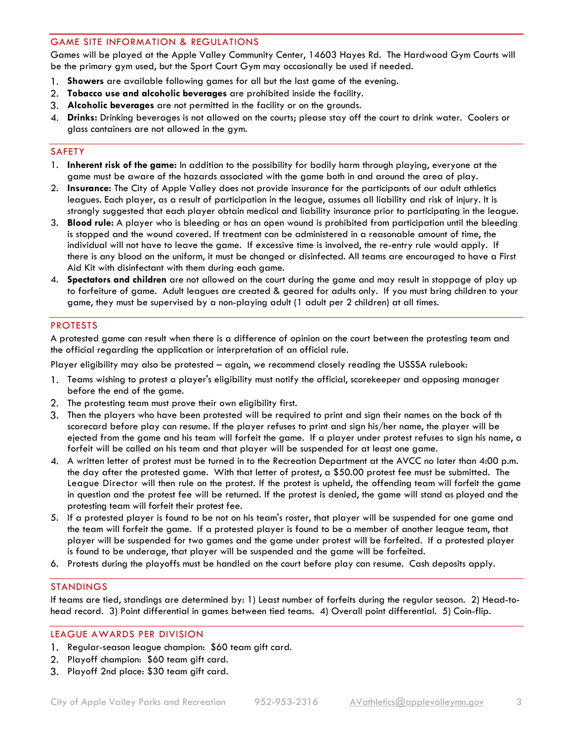#### <span id="page-2-0"></span>GAME SITE INFORMATION & REGULATIONS

Games will be played at the Apple Valley Community Center, 14603 Hayes Rd. The Hardwood Gym Courts will be the primary gym used, but the Sport Court Gym may occasionally be used if needed.

- **Showers** are available following games for all but the last game of the evening.
- **Tobacco use and alcoholic beverages** are prohibited inside the facility.
- **Alcoholic beverages** are not permitted in the facility or on the grounds.
- **Drinks:** Drinking beverages is not allowed on the courts; please stay off the court to drink water. Coolers or glass containers are not allowed in the gym.

#### <span id="page-2-1"></span>SAFETY

- 1. **Inherent risk of the game:** In addition to the possibility for bodily harm through playing, everyone at the game must be aware of the hazards associated with the game both in and around the area of play.
- 2. **Insurance:** The City of Apple Valley does not provide insurance for the participants of our adult athletics leagues. Each player, as a result of participation in the league, assumes all liability and risk of injury. It is strongly suggested that each player obtain medical and liability insurance prior to participating in the league.
- 3. **Blood rule:** A player who is bleeding or has an open wound is prohibited from participation until the bleeding is stopped and the wound covered. If treatment can be administered in a reasonable amount of time, the individual will not have to leave the game. If excessive time is involved, the re-entry rule would apply. If there is any blood on the uniform, it must be changed or disinfected. All teams are encouraged to have a First Aid Kit with disinfectant with them during each game.
- 4. **Spectators and children** are not allowed on the court during the game and may result in stoppage of play up to forfeiture of game. Adult leagues are created & geared for adults only. If you must bring children to your game, they must be supervised by a non-playing adult (1 adult per 2 children) at all times.

#### <span id="page-2-2"></span>PROTESTS

A protested game can result when there is a difference of opinion on the court between the protesting team and the official regarding the application or interpretation of an official rule.

Player eligibility may also be protested – again, we recommend closely reading the USSSA rulebook:

- 1. Teams wishing to protest a player's eligibility must notify the official, scorekeeper and opposing manager before the end of the game.
- 2. The protesting team must prove their own eligibility first.
- Then the players who have been protested will be required to print and sign their names on the back of th scorecard before play can resume. If the player refuses to print and sign his/her name, the player will be ejected from the game and his team will forfeit the game. If a player under protest refuses to sign his name, a forfeit will be called on his team and that player will be suspended for at least one game.
- A written letter of protest must be turned in to the Recreation Department at the AVCC no later than 4:00 p.m. the day after the protested game. With that letter of protest, a \$50.00 protest fee must be submitted. The League Director will then rule on the protest. If the protest is upheld, the offending team will forfeit the game in question and the protest fee will be returned. If the protest is denied, the game will stand as played and the protesting team will forfeit their protest fee.
- 5. If a protested player is found to be not on his team's roster, that player will be suspended for one game and the team will forfeit the game. If a protested player is found to be a member of another league team, that player will be suspended for two games and the game under protest will be forfeited. If a protested player is found to be underage, that player will be suspended and the game will be forfeited.
- <span id="page-2-3"></span>6. Protests during the playoffs must be handled on the court before play can resume. Cash deposits apply.

#### STANDINGS

If teams are tied, standings are determined by: 1) Least number of forfeits during the regular season. 2) Head-tohead record. 3) Point differential in games between tied teams. 4) Overall point differential. 5) Coin-flip.

#### <span id="page-2-4"></span>LEAGUE AWARDS PER DIVISION

- 1. Regular-season league champion: \$60 team gift card.
- 2. Playoff champion: \$60 team gift card.
- Playoff 2nd place: \$30 team gift card.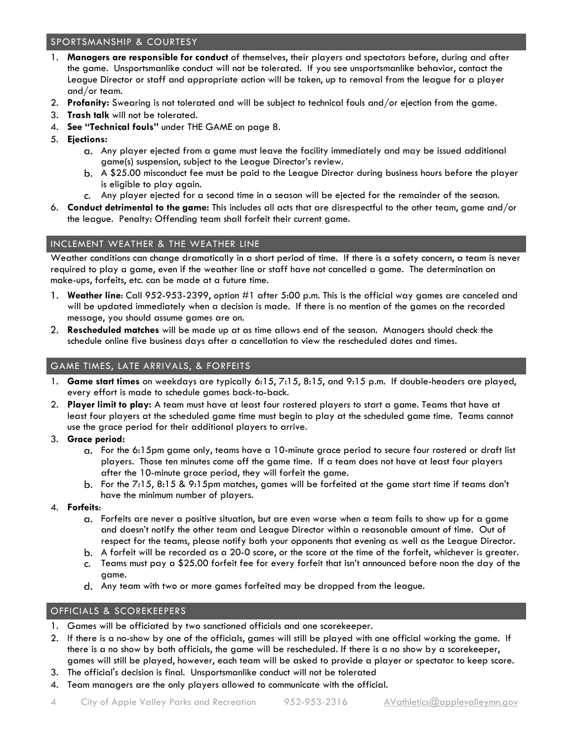## <span id="page-3-0"></span>SPORTSMANSHIP & COURTESY

- 1. **Managers are responsible for conduct** of themselves, their players and spectators before, during and after the game. Unsportsmanlike conduct will not be tolerated. If you see unsportsmanlike behavior, contact the League Director or staff and appropriate action will be taken, up to removal from the league for a player and/or team.
- 2. **Profanity:** Swearing is not tolerated and will be subject to technical fouls and/or ejection from the game.
- 3. **Trash talk** will not be tolerated.
- 4. **See "Technical fouls"** under THE GAME on page 8.
- 5. **Ejections:**
	- Any player ejected from a game must leave the facility immediately and may be issued additional game(s) suspension, subject to the League Director's review.
	- A \$25.00 misconduct fee must be paid to the League Director during business hours before the player is eligible to play again.
	- Any player ejected for a second time in a season will be ejected for the remainder of the season.
- 6. **Conduct detrimental to the game:** This includes all acts that are disrespectful to the other team, game and/or the league. Penalty: Offending team shall forfeit their current game.

## <span id="page-3-1"></span>INCLEMENT WEATHER & THE WEATHER LINE

Weather conditions can change dramatically in a short period of time. If there is a safety concern, a team is never required to play a game, even if the weather line or staff have not cancelled a game. The determination on make-ups, forfeits, etc. can be made at a future time.

- **Weather line**: Call 952-953-2399, option #1 after 5:00 p.m. This is the official way games are canceled and will be updated immediately when a decision is made. If there is no mention of the games on the recorded message, you should assume games are on.
- **Rescheduled matches** will be made up at as time allows end of the season. Managers should check the schedule online five business days after a cancellation to view the rescheduled dates and times.

## <span id="page-3-2"></span>GAME TIMES, LATE ARRIVALS, & FORFEITS

- 1. **Game start times** on weekdays are typically 6:15, 7:15, 8:15, and 9:15 p.m. If double-headers are played, every effort is made to schedule games back-to-back.
- 2. **Player limit to play:** A team must have at least four rostered players to start a game. Teams that have at least four players at the scheduled game time must begin to play at the scheduled game time. Teams cannot use the grace period for their additional players to arrive.
- 3. **Grace period:**
	- For the 6:15pm game only, teams have a 10-minute grace period to secure four rostered or draft list players. Those ten minutes come off the game time. If a team does not have at least four players after the 10-minute grace period, they will forfeit the game.
	- b. For the 7:15, 8:15 & 9:15pm matches, games will be forfeited at the game start time if teams don't have the minimum number of players.
- 4. **Forfeits**:
	- Forfeits are never a positive situation, but are even worse when a team fails to show up for a game and doesn't notify the other team and League Director within a reasonable amount of time. Out of respect for the teams, please notify both your opponents that evening as well as the League Director.
	- A forfeit will be recorded as a 20-0 score, or the score at the time of the forfeit, whichever is greater.
	- Teams must pay a \$25.00 forfeit fee for every forfeit that isn't announced before noon the day of the game.
	- Any team with two or more games forfeited may be dropped from the league.

## <span id="page-3-3"></span>OFFICIALS & SCOREKEEPERS

- 1. Games will be officiated by two sanctioned officials and one scorekeeper.
- 2. If there is a no-show by one of the officials, games will still be played with one official working the game. If there is a no show by both officials, the game will be rescheduled. If there is a no show by a scorekeeper, games will still be played, however, each team will be asked to provide a player or spectator to keep score.
- 3. The official's decision is final. Unsportsmanlike conduct will not be tolerated
- 4. Team managers are the only players allowed to communicate with the official.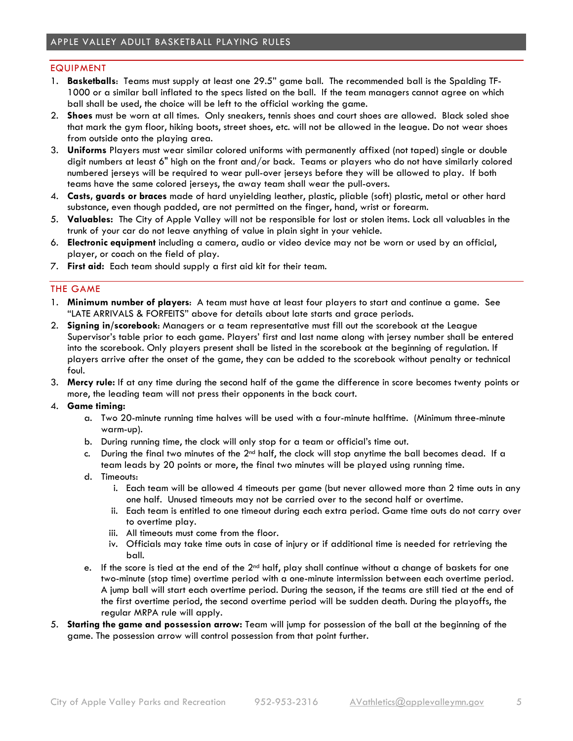#### <span id="page-4-1"></span><span id="page-4-0"></span>EQUIPMENT

- 1. **Basketballs**: Teams must supply at least one 29.5" game ball. The recommended ball is the Spalding TF-1000 or a similar ball inflated to the specs listed on the ball. If the team managers cannot agree on which ball shall be used, the choice will be left to the official working the game.
- 2. **Shoes** must be worn at all times. Only sneakers, tennis shoes and court shoes are allowed. Black soled shoe that mark the gym floor, hiking boots, street shoes, etc. will not be allowed in the league. Do not wear shoes from outside onto the playing area.
- 3. **Uniforms** Players must wear similar colored uniforms with permanently affixed (not taped) single or double digit numbers at least 6" high on the front and/or back. Teams or players who do not have similarly colored numbered jerseys will be required to wear pull-over jerseys before they will be allowed to play. If both teams have the same colored jerseys, the away team shall wear the pull-overs.
- 4. **Casts, guards or braces** made of hard unyielding leather, plastic, pliable (soft) plastic, metal or other hard substance, even though padded, are not permitted on the finger, hand, wrist or forearm.
- 5. **Valuables:** The City of Apple Valley will not be responsible for lost or stolen items. Lock all valuables in the trunk of your car do not leave anything of value in plain sight in your vehicle.
- 6. **Electronic equipment** including a camera, audio or video device may not be worn or used by an official, player, or coach on the field of play.
- <span id="page-4-2"></span>7. **First aid:** Each team should supply a first aid kit for their team.

#### THE GAME

- 1. **Minimum number of players**: A team must have at least four players to start and continue a game. See "LATE ARRIVALS & FORFEITS" above for details about late starts and grace periods.
- 2. **Signing in/scorebook**: Managers or a team representative must fill out the scorebook at the League Supervisor's table prior to each game. Players' first and last name along with jersey number shall be entered into the scorebook. Only players present shall be listed in the scorebook at the beginning of regulation. If players arrive after the onset of the game, they can be added to the scorebook without penalty or technical foul.
- 3. **Mercy rule:** If at any time during the second half of the game the difference in score becomes twenty points or more, the leading team will not press their opponents in the back court.

#### 4. **Game timing:**

- a. Two 20-minute running time halves will be used with a four-minute halftime. (Minimum three-minute warm-up).
- b. During running time, the clock will only stop for a team or official's time out.
- c. During the final two minutes of the  $2<sup>nd</sup>$  half, the clock will stop anytime the ball becomes dead. If a team leads by 20 points or more, the final two minutes will be played using running time.
- d. Timeouts:
	- i. Each team will be allowed 4 timeouts per game (but never allowed more than 2 time outs in any one half. Unused timeouts may not be carried over to the second half or overtime.
	- ii. Each team is entitled to one timeout during each extra period. Game time outs do not carry over to overtime play.
	- iii. All timeouts must come from the floor.
	- iv. Officials may take time outs in case of injury or if additional time is needed for retrieving the ball.
- e. If the score is tied at the end of the  $2<sup>nd</sup>$  half, play shall continue without a change of baskets for one two-minute (stop time) overtime period with a one-minute intermission between each overtime period. A jump ball will start each overtime period. During the season, if the teams are still tied at the end of the first overtime period, the second overtime period will be sudden death. During the playoffs, the regular MRPA rule will apply.
- 5. **Starting the game and possession arrow:** Team will jump for possession of the ball at the beginning of the game. The possession arrow will control possession from that point further.